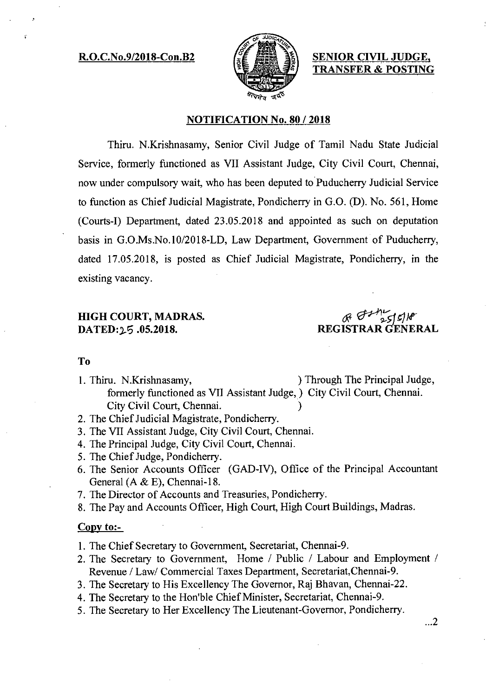### **R.O.C.No.9/2018-Con.B2**  $s \in \mathbb{Z}$  **SENIOR CIVIL JUDGE,**



**TRANSFER & POSTING** 

#### **NOTIFICATION No. 80 / 2018**

Thiru. N.Krishnasamy, Senior Civil Judge of Tamil Nadu State Judicial Service, formerly functioned as VII Assistant Judge, City Civil Court, Chennai, now under compulsory wait, who has been deputed to Puducherry Judicial Service to function as Chief Judicial Magistrate, Pondicherry in G.O. (D). No. 561, Home (Courts-I) Department, dated 23.05.2018 and appointed as such on deputation basis in G.O.Ms.No.10/2018-LD, Law Department, Government of Puducherry, dated 17.05.2018, is posted as Chief Judicial Magistrate, Pondicherry, in the existing vacancy.

# **HIGH COURT, MADRAS. DATED:15 .05.2018. REGISTRARGENERAL**

#### **To**

- 1. Thiru. N.Krishnasamy, ) Through The Principal Judge, formerly functioned as VII Assistant Judge,) City Civil Court, Chennai. City Civil Court, Chennai.
- 2. The Chief Judicial Magistrate, Pondicherry.
- 3. The VII Assistant Judge, City Civil Court, Chennai.
- 4. The Principal Judge, City Civil Court, Chennai.
- 5. The Chief Judge, Pondicherry.
- 6. The Senior Accounts Officer (GAD-IV), Office of the Principal Accountant General (A & E), Chennai-18.
- 7. The Director of Accounts and Treasuries, Pondicherry.
- 8. The Pay and Accounts Officer, High Court, High Court Buildings, Madras.

## Copy to:-

1. The Chief Secretary to Government, Secretariat, Chennai-9.

- 2. The Secretary to Government, Home / Public / Labour and Employment / Revenue / Law/ Commercial Taxes Department, Secretariat,Chennai-9.
- 3. The Secretary to His Excellency The Governor, Raj Bhavan, Chennai-22.
- 4. The Secretary to the Hon'ble Chief Minister, Secretariat, Chennai-9.
- 5. The Secretary to Her Excellency The Lieutenant-Governor, Pondicherry.

 $\ldots$ 2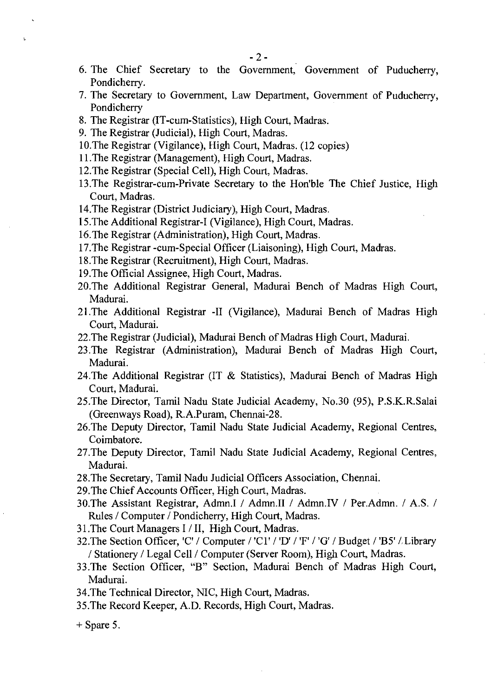- 6. The Chief Secretary to the Government, Government of Puducherry, Pondicherry.
- 7. The Secretary to Government, Law Department, Government of Puducherry, Pondicherry
- 8. The Registrar (IT-cum-Statistics), High Court, Madras.
- 9. The Registrar (Judicial), High Court, Madras.
- 10.The Registrar (Vigilance), High Court, Madras. (12 copies)
- 11.The Registrar (Management), High Court, Madras.
- 12.The Registrar (Special Cell), High Court, Madras.
- 13.The Registrar-cum-Private Secretary to the Hon'ble The Chief Justice, High Court, Madras.
- 14.The Registrar (District Judiciary), High Court, Madras.
- 15.The Additional Registrar-I (Vigilance), High Court, Madras.
- 16.The Registrar (Administration), High Court, Madras.
- 17.The Registrar -cum-Special Officer (Liaisoning), High Court, Madras.
- 18.The Registrar (Recruitment), High Court, Madras.
- 19.The Official Assignee, High Court, Madras.
- 20.The Additional Registrar General, Madurai Bench of Madras High Court, Madurai.
- 21.The Additional Registrar -II (Vigilance), Madurai Bench of Madras High Court, Madurai.
- 22.The Registrar (Judicial), Madurai Bench of Madras High Court, Madurai.
- 23 .The Registrar (Administration), Madurai Bench of Madras High Court, Madurai.
- 24.The Additional Registrar (IT & Statistics), Madurai Bench of Madras High Court, Madurai.
- 25.The Director, Tamil Nadu State Judicial Academy, No.30 (95), P.S.K.R.Salai (Greenways Road), R.A.Puram, Chennai-28.
- 26.The Deputy Director, Tamil Nadu State Judicial Academy, Regional Centres, Coimbatore.
- 27.The Deputy Director, Tamil Nadu State Judicial Academy, Regional Centres, Madurai.
- 28.The Secretary, Tamil Nadu Judicial Officers Association, Chennai.
- 29.The Chief Accounts Officer, High Court, Madras.
- 30.The Assistant Registrar, Admn.I / Admn.II / Admn.IV / Per.Admn. / A.S. / Rules / Computer / Pondicherry, High Court, Madras.
- 31.The Court Managers I / II, High Court, Madras.
- 32. The Section Officer, 'C' / Computer / 'Cl' / 'D' / 'F' / 'G' / Budget / 'B5' / Library / Stationery / Legal Cell / Computer (Server Room), High Court, Madras.
- 33.The Section Officer, "B" Section, Madurai Bench of Madras High Court, Madurai.
- 34.The Technical Director, NIC, High Court, Madras.
- 35.The Record Keeper, A.D. Records, High Court, Madras.
- $+$  Spare 5.